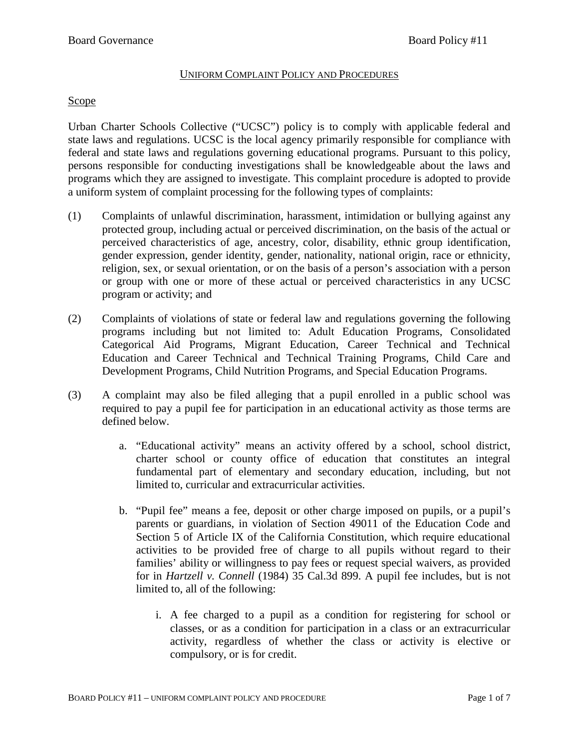#### UNIFORM COMPLAINT POLICY AND PROCEDURES

#### Scope

Urban Charter Schools Collective ("UCSC") policy is to comply with applicable federal and state laws and regulations. UCSC is the local agency primarily responsible for compliance with federal and state laws and regulations governing educational programs. Pursuant to this policy, persons responsible for conducting investigations shall be knowledgeable about the laws and programs which they are assigned to investigate. This complaint procedure is adopted to provide a uniform system of complaint processing for the following types of complaints:

- (1) Complaints of unlawful discrimination, harassment, intimidation or bullying against any protected group, including actual or perceived discrimination, on the basis of the actual or perceived characteristics of age, ancestry, color, disability, ethnic group identification, gender expression, gender identity, gender, nationality, national origin, race or ethnicity, religion, sex, or sexual orientation, or on the basis of a person's association with a person or group with one or more of these actual or perceived characteristics in any UCSC program or activity; and
- (2) Complaints of violations of state or federal law and regulations governing the following programs including but not limited to: Adult Education Programs, Consolidated Categorical Aid Programs, Migrant Education, Career Technical and Technical Education and Career Technical and Technical Training Programs, Child Care and Development Programs, Child Nutrition Programs, and Special Education Programs.
- (3) A complaint may also be filed alleging that a pupil enrolled in a public school was required to pay a pupil fee for participation in an educational activity as those terms are defined below.
	- a. "Educational activity" means an activity offered by a school, school district, charter school or county office of education that constitutes an integral fundamental part of elementary and secondary education, including, but not limited to, curricular and extracurricular activities.
	- b. "Pupil fee" means a fee, deposit or other charge imposed on pupils, or a pupil's parents or guardians, in violation of Section 49011 of the Education Code and Section 5 of Article IX of the California Constitution, which require educational activities to be provided free of charge to all pupils without regard to their families' ability or willingness to pay fees or request special waivers, as provided for in *Hartzell v. Connell* (1984) 35 Cal.3d 899. A pupil fee includes, but is not limited to, all of the following:
		- i. A fee charged to a pupil as a condition for registering for school or classes, or as a condition for participation in a class or an extracurricular activity, regardless of whether the class or activity is elective or compulsory, or is for credit.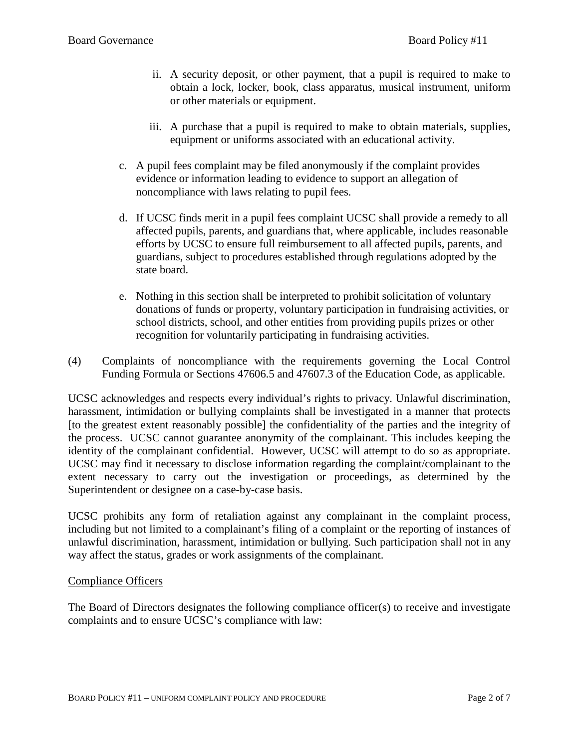- ii. A security deposit, or other payment, that a pupil is required to make to obtain a lock, locker, book, class apparatus, musical instrument, uniform or other materials or equipment.
- iii. A purchase that a pupil is required to make to obtain materials, supplies, equipment or uniforms associated with an educational activity.
- c. A pupil fees complaint may be filed anonymously if the complaint provides evidence or information leading to evidence to support an allegation of noncompliance with laws relating to pupil fees.
- d. If UCSC finds merit in a pupil fees complaint UCSC shall provide a remedy to all affected pupils, parents, and guardians that, where applicable, includes reasonable efforts by UCSC to ensure full reimbursement to all affected pupils, parents, and guardians, subject to procedures established through regulations adopted by the state board.
- e. Nothing in this section shall be interpreted to prohibit solicitation of voluntary donations of funds or property, voluntary participation in fundraising activities, or school districts, school, and other entities from providing pupils prizes or other recognition for voluntarily participating in fundraising activities.
- (4) Complaints of noncompliance with the requirements governing the Local Control Funding Formula or Sections 47606.5 and 47607.3 of the Education Code, as applicable.

UCSC acknowledges and respects every individual's rights to privacy. Unlawful discrimination, harassment, intimidation or bullying complaints shall be investigated in a manner that protects [to the greatest extent reasonably possible] the confidentiality of the parties and the integrity of the process. UCSC cannot guarantee anonymity of the complainant. This includes keeping the identity of the complainant confidential. However, UCSC will attempt to do so as appropriate. UCSC may find it necessary to disclose information regarding the complaint/complainant to the extent necessary to carry out the investigation or proceedings, as determined by the Superintendent or designee on a case-by-case basis.

UCSC prohibits any form of retaliation against any complainant in the complaint process, including but not limited to a complainant's filing of a complaint or the reporting of instances of unlawful discrimination, harassment, intimidation or bullying. Such participation shall not in any way affect the status, grades or work assignments of the complainant.

## Compliance Officers

The Board of Directors designates the following compliance officer(s) to receive and investigate complaints and to ensure UCSC's compliance with law: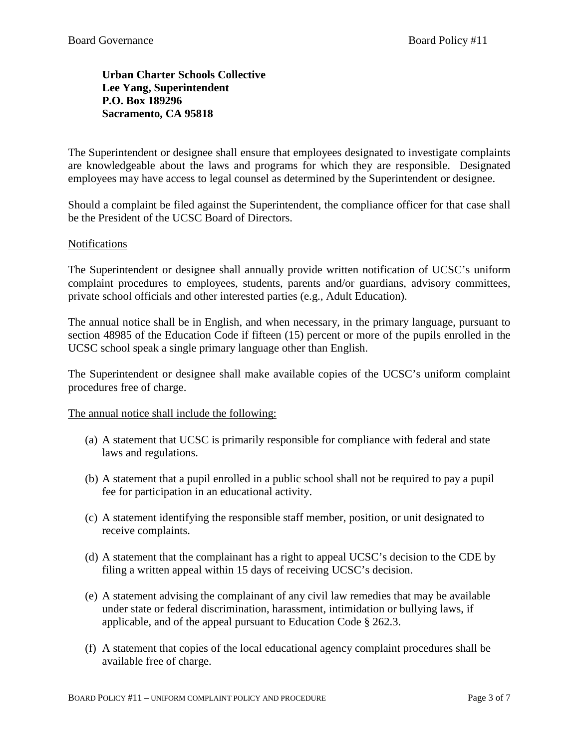## **Urban Charter Schools Collective Lee Yang, Superintendent P.O. Box 189296 Sacramento, CA 95818**

The Superintendent or designee shall ensure that employees designated to investigate complaints are knowledgeable about the laws and programs for which they are responsible. Designated employees may have access to legal counsel as determined by the Superintendent or designee.

Should a complaint be filed against the Superintendent, the compliance officer for that case shall be the President of the UCSC Board of Directors.

## **Notifications**

The Superintendent or designee shall annually provide written notification of UCSC's uniform complaint procedures to employees, students, parents and/or guardians, advisory committees, private school officials and other interested parties (e.g., Adult Education).

The annual notice shall be in English, and when necessary, in the primary language, pursuant to section 48985 of the Education Code if fifteen (15) percent or more of the pupils enrolled in the UCSC school speak a single primary language other than English.

The Superintendent or designee shall make available copies of the UCSC's uniform complaint procedures free of charge.

The annual notice shall include the following:

- (a) A statement that UCSC is primarily responsible for compliance with federal and state laws and regulations.
- (b) A statement that a pupil enrolled in a public school shall not be required to pay a pupil fee for participation in an educational activity.
- (c) A statement identifying the responsible staff member, position, or unit designated to receive complaints.
- (d) A statement that the complainant has a right to appeal UCSC's decision to the CDE by filing a written appeal within 15 days of receiving UCSC's decision.
- (e) A statement advising the complainant of any civil law remedies that may be available under state or federal discrimination, harassment, intimidation or bullying laws, if applicable, and of the appeal pursuant to Education Code § 262.3.
- (f) A statement that copies of the local educational agency complaint procedures shall be available free of charge.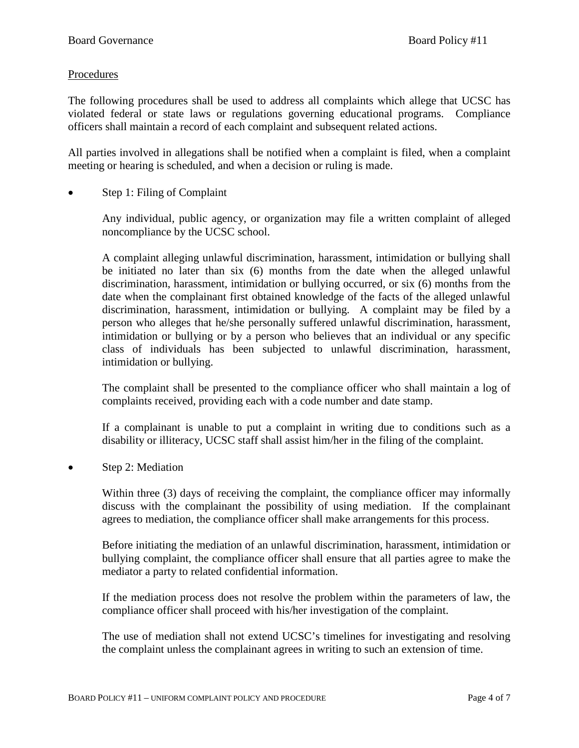## Procedures

The following procedures shall be used to address all complaints which allege that UCSC has violated federal or state laws or regulations governing educational programs. Compliance officers shall maintain a record of each complaint and subsequent related actions.

All parties involved in allegations shall be notified when a complaint is filed, when a complaint meeting or hearing is scheduled, and when a decision or ruling is made.

Step 1: Filing of Complaint

Any individual, public agency, or organization may file a written complaint of alleged noncompliance by the UCSC school.

A complaint alleging unlawful discrimination, harassment, intimidation or bullying shall be initiated no later than six (6) months from the date when the alleged unlawful discrimination, harassment, intimidation or bullying occurred, or six (6) months from the date when the complainant first obtained knowledge of the facts of the alleged unlawful discrimination, harassment, intimidation or bullying. A complaint may be filed by a person who alleges that he/she personally suffered unlawful discrimination, harassment, intimidation or bullying or by a person who believes that an individual or any specific class of individuals has been subjected to unlawful discrimination, harassment, intimidation or bullying.

The complaint shall be presented to the compliance officer who shall maintain a log of complaints received, providing each with a code number and date stamp.

If a complainant is unable to put a complaint in writing due to conditions such as a disability or illiteracy, UCSC staff shall assist him/her in the filing of the complaint.

• Step 2: Mediation

Within three (3) days of receiving the complaint, the compliance officer may informally discuss with the complainant the possibility of using mediation. If the complainant agrees to mediation, the compliance officer shall make arrangements for this process.

Before initiating the mediation of an unlawful discrimination, harassment, intimidation or bullying complaint, the compliance officer shall ensure that all parties agree to make the mediator a party to related confidential information.

If the mediation process does not resolve the problem within the parameters of law, the compliance officer shall proceed with his/her investigation of the complaint.

The use of mediation shall not extend UCSC's timelines for investigating and resolving the complaint unless the complainant agrees in writing to such an extension of time.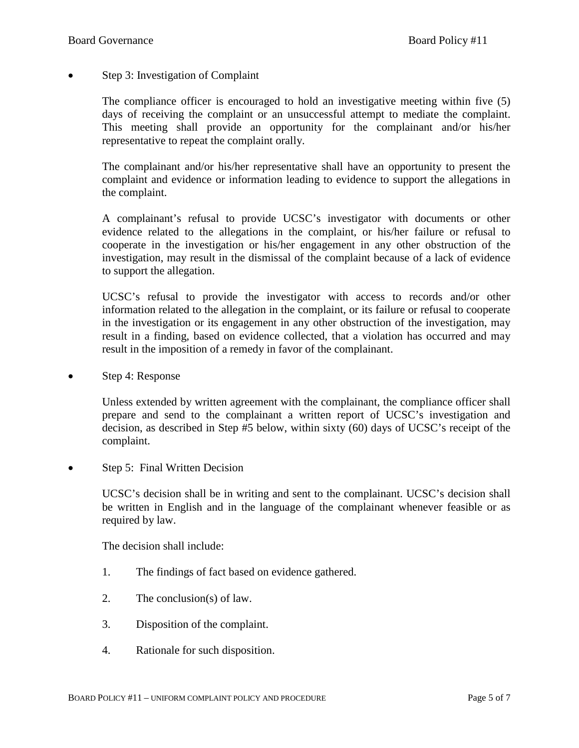• Step 3: Investigation of Complaint

The compliance officer is encouraged to hold an investigative meeting within five (5) days of receiving the complaint or an unsuccessful attempt to mediate the complaint. This meeting shall provide an opportunity for the complainant and/or his/her representative to repeat the complaint orally.

The complainant and/or his/her representative shall have an opportunity to present the complaint and evidence or information leading to evidence to support the allegations in the complaint.

A complainant's refusal to provide UCSC's investigator with documents or other evidence related to the allegations in the complaint, or his/her failure or refusal to cooperate in the investigation or his/her engagement in any other obstruction of the investigation, may result in the dismissal of the complaint because of a lack of evidence to support the allegation.

UCSC's refusal to provide the investigator with access to records and/or other information related to the allegation in the complaint, or its failure or refusal to cooperate in the investigation or its engagement in any other obstruction of the investigation, may result in a finding, based on evidence collected, that a violation has occurred and may result in the imposition of a remedy in favor of the complainant.

• Step 4: Response

Unless extended by written agreement with the complainant, the compliance officer shall prepare and send to the complainant a written report of UCSC's investigation and decision, as described in Step #5 below, within sixty (60) days of UCSC's receipt of the complaint.

• Step 5: Final Written Decision

UCSC's decision shall be in writing and sent to the complainant. UCSC's decision shall be written in English and in the language of the complainant whenever feasible or as required by law.

The decision shall include:

- 1. The findings of fact based on evidence gathered.
- 2. The conclusion(s) of law.
- 3. Disposition of the complaint.
- 4. Rationale for such disposition.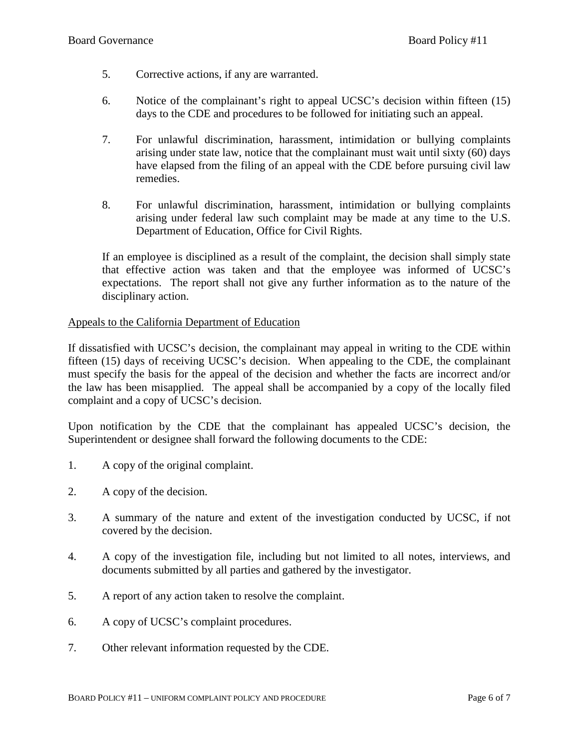- 5. Corrective actions, if any are warranted.
- 6. Notice of the complainant's right to appeal UCSC's decision within fifteen (15) days to the CDE and procedures to be followed for initiating such an appeal.
- 7. For unlawful discrimination, harassment, intimidation or bullying complaints arising under state law, notice that the complainant must wait until sixty (60) days have elapsed from the filing of an appeal with the CDE before pursuing civil law remedies.
- 8. For unlawful discrimination, harassment, intimidation or bullying complaints arising under federal law such complaint may be made at any time to the U.S. Department of Education, Office for Civil Rights.

If an employee is disciplined as a result of the complaint, the decision shall simply state that effective action was taken and that the employee was informed of UCSC's expectations. The report shall not give any further information as to the nature of the disciplinary action.

## Appeals to the California Department of Education

If dissatisfied with UCSC's decision, the complainant may appeal in writing to the CDE within fifteen (15) days of receiving UCSC's decision. When appealing to the CDE, the complainant must specify the basis for the appeal of the decision and whether the facts are incorrect and/or the law has been misapplied. The appeal shall be accompanied by a copy of the locally filed complaint and a copy of UCSC's decision.

Upon notification by the CDE that the complainant has appealed UCSC's decision, the Superintendent or designee shall forward the following documents to the CDE:

- 1. A copy of the original complaint.
- 2. A copy of the decision.
- 3. A summary of the nature and extent of the investigation conducted by UCSC, if not covered by the decision.
- 4. A copy of the investigation file, including but not limited to all notes, interviews, and documents submitted by all parties and gathered by the investigator.
- 5. A report of any action taken to resolve the complaint.
- 6. A copy of UCSC's complaint procedures.
- 7. Other relevant information requested by the CDE.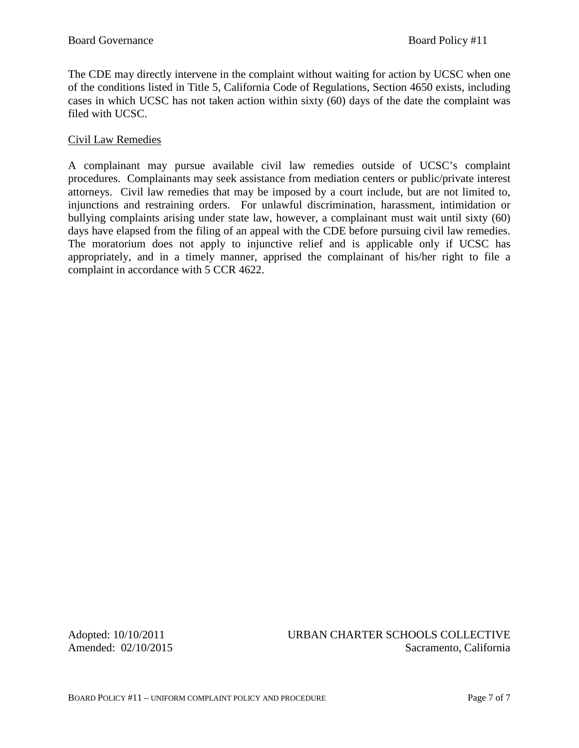The CDE may directly intervene in the complaint without waiting for action by UCSC when one of the conditions listed in Title 5, California Code of Regulations, Section 4650 exists, including cases in which UCSC has not taken action within sixty (60) days of the date the complaint was filed with UCSC.

## Civil Law Remedies

A complainant may pursue available civil law remedies outside of UCSC's complaint procedures. Complainants may seek assistance from mediation centers or public/private interest attorneys. Civil law remedies that may be imposed by a court include, but are not limited to, injunctions and restraining orders. For unlawful discrimination, harassment, intimidation or bullying complaints arising under state law, however, a complainant must wait until sixty (60) days have elapsed from the filing of an appeal with the CDE before pursuing civil law remedies. The moratorium does not apply to injunctive relief and is applicable only if UCSC has appropriately, and in a timely manner, apprised the complainant of his/her right to file a complaint in accordance with 5 CCR 4622.

Adopted: 10/10/2011 URBAN CHARTER SCHOOLS COLLECTIVE Amended:  $02/10/2015$  Sacramento, California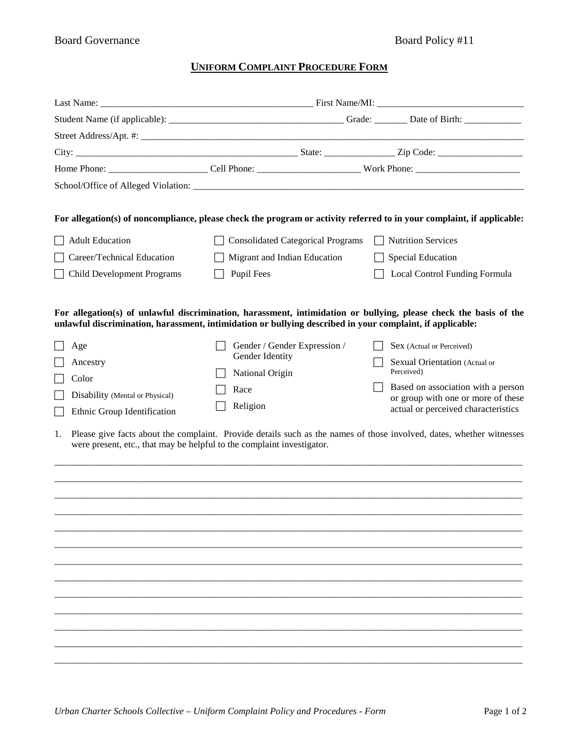# **UNIFORM COMPLAINT PROCEDURE FORM**

|                                                                              | For allegation(s) of noncompliance, please check the program or activity referred to in your complaint, if applicable:                                                                                                                                         |                                                                           |  |  |
|------------------------------------------------------------------------------|----------------------------------------------------------------------------------------------------------------------------------------------------------------------------------------------------------------------------------------------------------------|---------------------------------------------------------------------------|--|--|
| <b>Adult Education</b>                                                       | <b>Consolidated Categorical Programs</b>                                                                                                                                                                                                                       | <b>Nutrition Services</b>                                                 |  |  |
| Career/Technical Education                                                   | Migrant and Indian Education                                                                                                                                                                                                                                   | Special Education                                                         |  |  |
| <b>Child Development Programs</b>                                            | <b>Pupil Fees</b>                                                                                                                                                                                                                                              | Local Control Funding Formula                                             |  |  |
| Age                                                                          | For allegation(s) of unlawful discrimination, harassment, intimidation or bullying, please check the basis of the<br>unlawful discrimination, harassment, intimidation or bullying described in your complaint, if applicable:<br>Gender / Gender Expression / | Sex (Actual or Perceived)                                                 |  |  |
| Ancestry                                                                     | Gender Identity                                                                                                                                                                                                                                                | Sexual Orientation (Actual or<br>Perceived)                               |  |  |
| Color                                                                        | National Origin                                                                                                                                                                                                                                                | Based on association with a person                                        |  |  |
| Disability (Mental or Physical)<br>Ethnic Group Identification               | Race<br>Religion                                                                                                                                                                                                                                               | or group with one or more of these<br>actual or perceived characteristics |  |  |
| 1.<br>were present, etc., that may be helpful to the complaint investigator. | Please give facts about the complaint. Provide details such as the names of those involved, dates, whether witnesses                                                                                                                                           |                                                                           |  |  |
|                                                                              |                                                                                                                                                                                                                                                                |                                                                           |  |  |
|                                                                              |                                                                                                                                                                                                                                                                |                                                                           |  |  |
|                                                                              |                                                                                                                                                                                                                                                                |                                                                           |  |  |
|                                                                              |                                                                                                                                                                                                                                                                |                                                                           |  |  |
|                                                                              |                                                                                                                                                                                                                                                                |                                                                           |  |  |
|                                                                              |                                                                                                                                                                                                                                                                |                                                                           |  |  |
|                                                                              |                                                                                                                                                                                                                                                                |                                                                           |  |  |